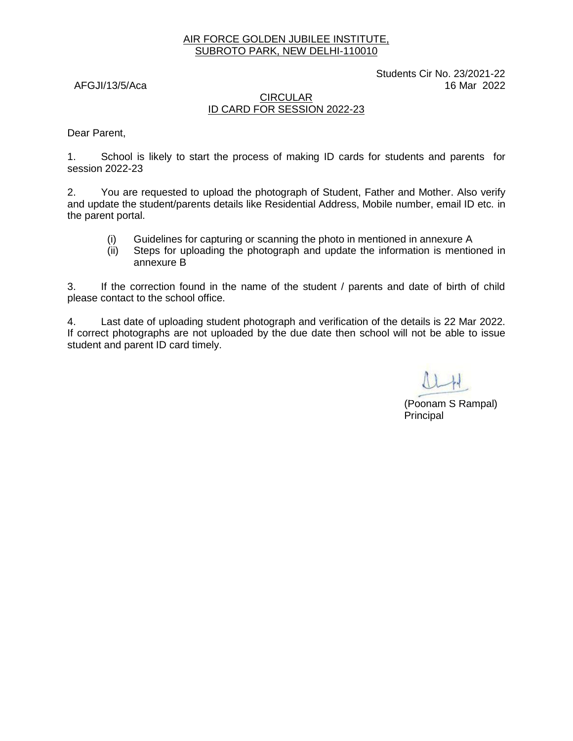#### AIR FORCE GOLDEN JUBILEE INSTITUTE, SUBROTO PARK, NEW DELHI-110010

Students Cir No. 23/2021-22 AFGJI/13/5/Aca 16 Mar 2022

#### CIRCULAR ID CARD FOR SESSION 2022-23

Dear Parent,

1. School is likely to start the process of making ID cards for students and parents for session 2022-23

2. You are requested to upload the photograph of Student, Father and Mother. Also verify and update the student/parents details like Residential Address, Mobile number, email ID etc. in the parent portal.

- (i) Guidelines for capturing or scanning the photo in mentioned in annexure A
- (ii) Steps for uploading the photograph and update the information is mentioned in annexure B

3. If the correction found in the name of the student / parents and date of birth of child please contact to the school office.

4. Last date of uploading student photograph and verification of the details is 22 Mar 2022. If correct photographs are not uploaded by the due date then school will not be able to issue student and parent ID card timely.

(Poonam S Rampal) Principal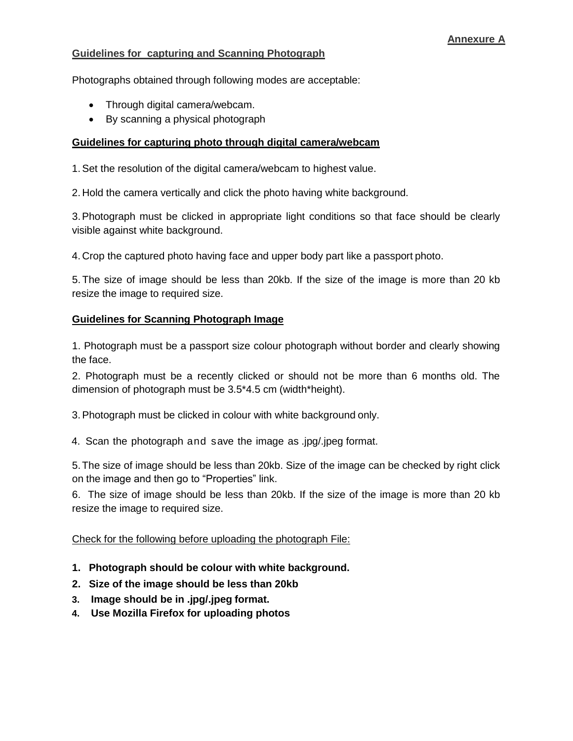# **Guidelines for capturing and Scanning Photograph**

Photographs obtained through following modes are acceptable:

- Through digital camera/webcam.
- By scanning a physical photograph

### **Guidelines for capturing photo through digital camera/webcam**

1.Set the resolution of the digital camera/webcam to highest value.

2. Hold the camera vertically and click the photo having white background.

3.Photograph must be clicked in appropriate light conditions so that face should be clearly visible against white background.

4. Crop the captured photo having face and upper body part like a passport photo.

5. The size of image should be less than 20kb. If the size of the image is more than 20 kb resize the image to required size.

# **Guidelines for Scanning Photograph Image**

1. Photograph must be a passport size colour photograph without border and clearly showing the face.

2. Photograph must be a recently clicked or should not be more than 6 months old. The dimension of photograph must be 3.5\*4.5 cm (width\*height).

3.Photograph must be clicked in colour with white background only.

4. Scan the photograph and save the image as .jpg/.jpeg format.

5.The size of image should be less than 20kb. Size of the image can be checked by right click on the image and then go to "Properties" link.

6. The size of image should be less than 20kb. If the size of the image is more than 20 kb resize the image to required size.

# Check for the following before uploading the photograph File:

- **1. Photograph should be colour with white background.**
- **2. Size of the image should be less than 20kb**
- **3. Image should be in .jpg/.jpeg format.**
- **4. Use Mozilla Firefox for uploading photos**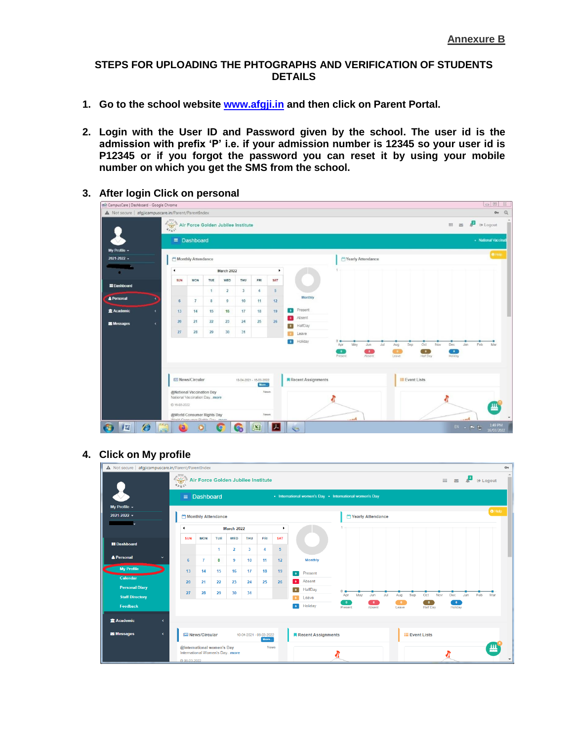#### **STEPS FOR UPLOADING THE PHTOGRAPHS AND VERIFICATION OF STUDENTS DETAILS**

- **1. Go to the school website [www.afgji.in](http://www.afgji.in/) and then click on Parent Portal.**
- **2. Login with the User ID and Password given by the school. The user id is the admission with prefix 'P' i.e. if your admission number is 12345 so your user id is P12345 or if you forgot the password you can reset it by using your mobile number on which you get the SMS from the school.**

| etab CampusCare   Dashboard - Google Chrome          |            |                                                                |                    |                |                |                                    |                |                 |                                              |                      |                      |     |            |                  |     |                  |                      |                       | $\Box$<br>23          |
|------------------------------------------------------|------------|----------------------------------------------------------------|--------------------|----------------|----------------|------------------------------------|----------------|-----------------|----------------------------------------------|----------------------|----------------------|-----|------------|------------------|-----|------------------|----------------------|-----------------------|-----------------------|
| A Not secure   afgjicampuscare.in/Parent/ParentIndex |            |                                                                |                    |                |                |                                    |                |                 |                                              |                      |                      |     |            |                  |     |                  |                      |                       | Q<br>$0\pi$           |
|                                                      |            | $\frac{1}{\sqrt{2}}\sum_{i=1}^{n}$                             |                    |                |                | Air Force Golden Jubilee Institute |                |                 |                                              |                      |                      |     |            |                  |     | HI.<br>$\Xi$     | ₽                    | <sup>(a)</sup> Logout |                       |
|                                                      |            |                                                                | $\equiv$ Dashboard |                |                |                                    |                |                 |                                              |                      |                      |     |            |                  |     |                  |                      | · National Vaccinati  |                       |
| My Profile -                                         |            |                                                                |                    |                |                |                                    |                |                 |                                              |                      |                      |     |            |                  |     |                  |                      |                       | <b>O</b> Help         |
| $2021 - 2022 -$                                      |            |                                                                | Monthly Attendance |                |                |                                    |                |                 |                                              |                      | Yearly Attendance    |     |            |                  |     |                  |                      |                       |                       |
| i.                                                   |            | <b>March 2022</b><br>٠<br>$\ddot{\phantom{0}}$                 |                    |                |                |                                    |                |                 |                                              |                      |                      |     |            |                  |     |                  |                      |                       |                       |
| <b>EDashboard</b>                                    |            | SUN                                                            | <b>MON</b>         | TUE            | WED            | THU                                | FRI            | SAT             |                                              |                      |                      |     |            |                  |     |                  |                      |                       |                       |
|                                                      |            |                                                                |                    | $\mathbf{1}$   | $\overline{2}$ | $\mathbf{3}$                       | 4 <sup>1</sup> | 5 <sup>5</sup>  |                                              |                      |                      |     |            |                  |     |                  |                      |                       |                       |
| <b>A</b> Personal                                    |            | $6\phantom{1}6$                                                | $\overline{I}$     | $\overline{8}$ | $\overline{9}$ | 10                                 | 11             | 12 <sup>°</sup> | Monthly                                      |                      |                      |     |            |                  |     |                  |                      |                       |                       |
| <b>盒 Academic</b>                                    | $\epsilon$ | 13                                                             | 14                 | 15             | 16             | 17                                 | 18             | 19              | Present<br>$\bullet$                         |                      |                      |     |            |                  |     |                  |                      |                       |                       |
| Messages                                             | $\epsilon$ | 20                                                             | 21                 | 22             | 23             | 24                                 | 25             | 26              | Absent<br>$\bullet$                          |                      |                      |     |            |                  |     |                  |                      |                       |                       |
|                                                      |            | 27                                                             | 28                 | 29             | 30             | 31                                 |                |                 | HalfDay<br>$\overline{\phantom{a}}$<br>Leave |                      |                      |     |            |                  |     |                  |                      |                       |                       |
|                                                      |            |                                                                |                    |                |                |                                    |                |                 | Holiday<br>$\bullet$                         | 0 <sub>o</sub>       |                      |     |            |                  |     |                  |                      |                       |                       |
|                                                      |            |                                                                |                    |                |                |                                    |                |                 |                                              | May<br>Apr           | Jun                  | Jul | Aug<br>Sep | Oct<br>$\bullet$ | Nov | Dec<br>$\bullet$ | Jan                  | Feb                   | Mar                   |
|                                                      |            |                                                                |                    |                |                |                                    |                |                 |                                              | $\bullet$<br>Present | $\bullet$<br>Absent  |     | Leave      | Half Day         |     | Holiday          |                      |                       |                       |
|                                                      |            |                                                                |                    |                |                |                                    |                |                 |                                              |                      |                      |     |            |                  |     |                  |                      |                       |                       |
|                                                      |            | News/Circular                                                  |                    |                |                | 10-04-2021 - 16-03-2022<br>More    |                |                 | Recent Assignments                           |                      | <b>E</b> Event Lists |     |            |                  |     |                  |                      |                       |                       |
|                                                      |            | @National Vaccination Day                                      |                    |                |                |                                    | News           |                 |                                              |                      |                      |     |            |                  |     |                  |                      |                       |                       |
|                                                      |            | National Vaccination Daymore                                   |                    |                |                |                                    |                |                 |                                              |                      |                      |     |            |                  |     |                  |                      |                       |                       |
|                                                      |            | C 16-03-2022                                                   |                    |                |                |                                    |                |                 |                                              |                      |                      |     |            |                  |     |                  |                      |                       |                       |
|                                                      |            | @World Consumer Rights Day<br>Miscld Concurros Diable Day more |                    |                |                |                                    | News           |                 |                                              | $n$ mel              |                      |     |            |                  |     |                  | $m$ at $\mathcal{E}$ |                       |                       |
| 匶                                                    | e          | Ð                                                              |                    |                | $\Omega$       |                                    |                |                 | C.                                           |                      |                      |     |            |                  |     |                  | EN - P 10            |                       | 1:49 PM<br>16/03/2022 |

**3. After login Click on personal**

# **4. Click on My profile**